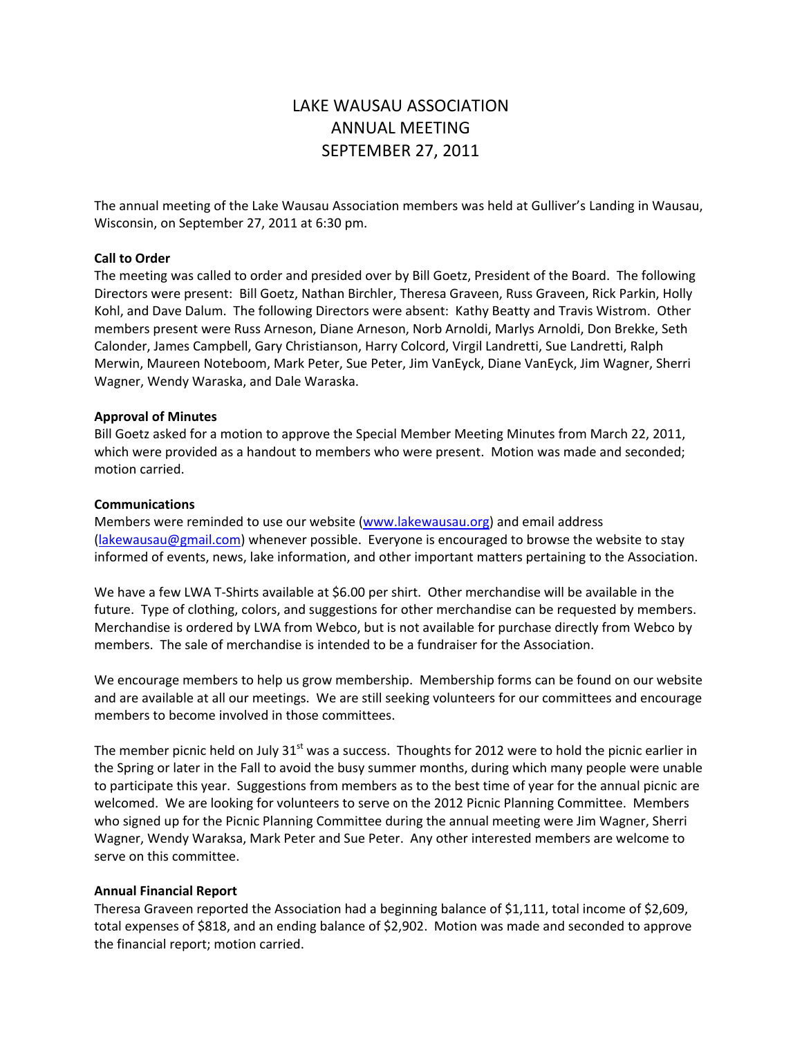# LAKE WAUSAU ASSOCIATION ANNUAL MEETING SEPTEMBER 27, 2011

The annual meeting of the Lake Wausau Association members was held at Gulliver's Landing in Wausau, Wisconsin, on September 27, 2011 at 6:30 pm.

## **Call to Order**

The meeting was called to order and presided over by Bill Goetz, President of the Board. The following Directors were present: Bill Goetz, Nathan Birchler, Theresa Graveen, Russ Graveen, Rick Parkin, Holly Kohl, and Dave Dalum. The following Directors were absent: Kathy Beatty and Travis Wistrom. Other members present were Russ Arneson, Diane Arneson, Norb Arnoldi, Marlys Arnoldi, Don Brekke, Seth Calonder, James Campbell, Gary Christianson, Harry Colcord, Virgil Landretti, Sue Landretti, Ralph Merwin, Maureen Noteboom, Mark Peter, Sue Peter, Jim VanEyck, Diane VanEyck, Jim Wagner, Sherri Wagner, Wendy Waraska, and Dale Waraska.

## **Approval of Minutes**

Bill Goetz asked for a motion to approve the Special Member Meeting Minutes from March 22, 2011, which were provided as a handout to members who were present. Motion was made and seconded; motion carried.

## **Communications**

Members were reminded to use our website (www.lakewausau.org) and email address (lakewausau@gmail.com) whenever possible. Everyone is encouraged to browse the website to stay informed of events, news, lake information, and other important matters pertaining to the Association.

We have a few LWA T-Shirts available at \$6.00 per shirt. Other merchandise will be available in the future. Type of clothing, colors, and suggestions for other merchandise can be requested by members. Merchandise is ordered by LWA from Webco, but is not available for purchase directly from Webco by members. The sale of merchandise is intended to be a fundraiser for the Association.

We encourage members to help us grow membership. Membership forms can be found on our website and are available at all our meetings. We are still seeking volunteers for our committees and encourage members to become involved in those committees.

The member picnic held on July  $31<sup>st</sup>$  was a success. Thoughts for 2012 were to hold the picnic earlier in the Spring or later in the Fall to avoid the busy summer months, during which many people were unable to participate this year. Suggestions from members as to the best time of year for the annual picnic are welcomed. We are looking for volunteers to serve on the 2012 Picnic Planning Committee. Members who signed up for the Picnic Planning Committee during the annual meeting were Jim Wagner, Sherri Wagner, Wendy Waraksa, Mark Peter and Sue Peter. Any other interested members are welcome to serve on this committee.

## **Annual Financial Report**

Theresa Graveen reported the Association had a beginning balance of \$1,111, total income of \$2,609, total expenses of \$818, and an ending balance of \$2,902. Motion was made and seconded to approve the financial report; motion carried.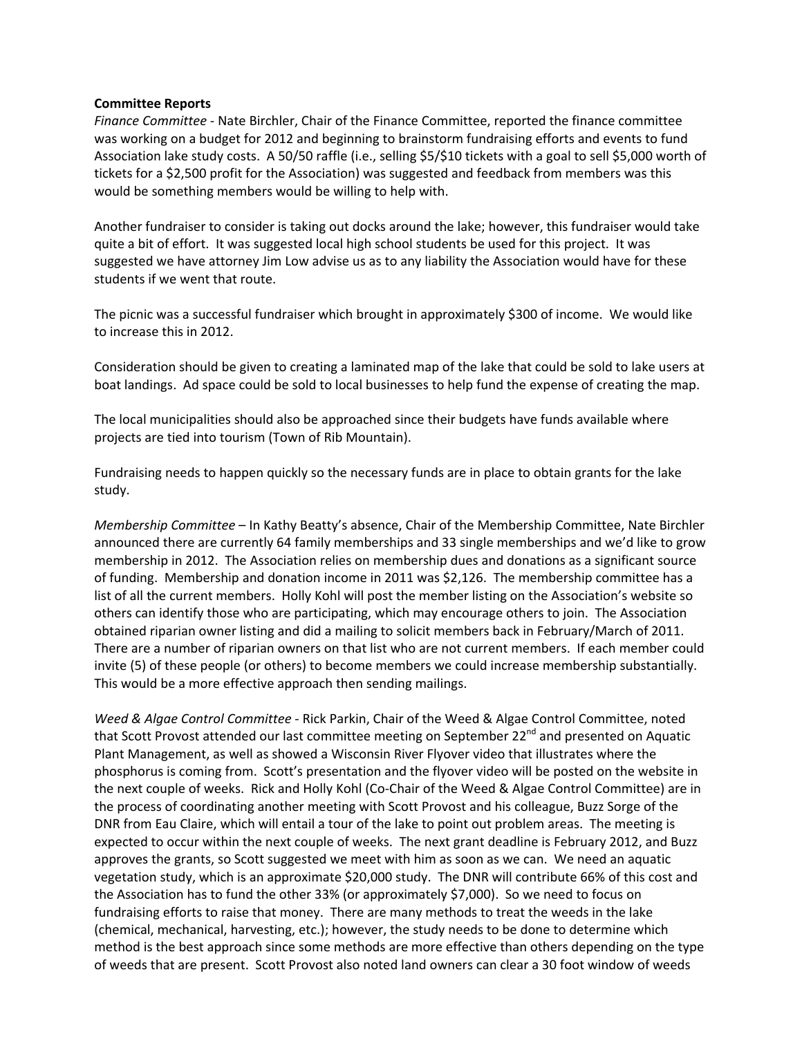## **Committee Reports**

*Finance Committee ‐* Nate Birchler, Chair of the Finance Committee, reported the finance committee was working on a budget for 2012 and beginning to brainstorm fundraising efforts and events to fund Association lake study costs. A 50/50 raffle (i.e., selling \$5/\$10 tickets with a goal to sell \$5,000 worth of tickets for a \$2,500 profit for the Association) was suggested and feedback from members was this would be something members would be willing to help with.

Another fundraiser to consider is taking out docks around the lake; however, this fundraiser would take quite a bit of effort. It was suggested local high school students be used for this project. It was suggested we have attorney Jim Low advise us as to any liability the Association would have for these students if we went that route.

The picnic was a successful fundraiser which brought in approximately \$300 of income. We would like to increase this in 2012.

Consideration should be given to creating a laminated map of the lake that could be sold to lake users at boat landings. Ad space could be sold to local businesses to help fund the expense of creating the map.

The local municipalities should also be approached since their budgets have funds available where projects are tied into tourism (Town of Rib Mountain).

Fundraising needs to happen quickly so the necessary funds are in place to obtain grants for the lake study.

*Membership Committee* – In Kathy Beatty's absence, Chair of the Membership Committee, Nate Birchler announced there are currently 64 family memberships and 33 single memberships and we'd like to grow membership in 2012. The Association relies on membership dues and donations as a significant source of funding. Membership and donation income in 2011 was \$2,126. The membership committee has a list of all the current members. Holly Kohl will post the member listing on the Association's website so others can identify those who are participating, which may encourage others to join. The Association obtained riparian owner listing and did a mailing to solicit members back in February/March of 2011. There are a number of riparian owners on that list who are not current members. If each member could invite (5) of these people (or others) to become members we could increase membership substantially. This would be a more effective approach then sending mailings.

*Weed & Algae Control Committee* ‐ Rick Parkin, Chair of the Weed & Algae Control Committee, noted that Scott Provost attended our last committee meeting on September 22<sup>nd</sup> and presented on Aquatic Plant Management, as well as showed a Wisconsin River Flyover video that illustrates where the phosphorus is coming from. Scott's presentation and the flyover video will be posted on the website in the next couple of weeks. Rick and Holly Kohl (Co‐Chair of the Weed & Algae Control Committee) are in the process of coordinating another meeting with Scott Provost and his colleague, Buzz Sorge of the DNR from Eau Claire, which will entail a tour of the lake to point out problem areas. The meeting is expected to occur within the next couple of weeks. The next grant deadline is February 2012, and Buzz approves the grants, so Scott suggested we meet with him as soon as we can. We need an aquatic vegetation study, which is an approximate \$20,000 study. The DNR will contribute 66% of this cost and the Association has to fund the other 33% (or approximately \$7,000). So we need to focus on fundraising efforts to raise that money. There are many methods to treat the weeds in the lake (chemical, mechanical, harvesting, etc.); however, the study needs to be done to determine which method is the best approach since some methods are more effective than others depending on the type of weeds that are present. Scott Provost also noted land owners can clear a 30 foot window of weeds